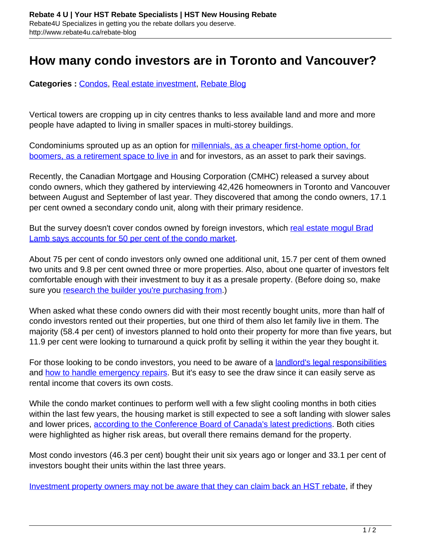## **How many condo investors are in Toronto and Vancouver?**

**Categories :** [Condos,](http://www.rebate4u.ca/rebate-blog/category/condos/) [Real estate investment](http://www.rebate4u.ca/rebate-blog/category/real-estate-investment/), [Rebate Blog](http://www.rebate4u.ca/rebate-blog/category/rebate-blog/)

Vertical towers are cropping up in city centres thanks to less available land and more and more people have adapted to living in smaller spaces in multi-storey buildings.

Condominiums sprouted up as an option for [millennials, as a cheaper first-home option, for](http://www.rebate4u.ca/boomers-millennials-supporting-canadas-condo-market/) [boomers, as a retirement space to live in](http://www.rebate4u.ca/boomers-millennials-supporting-canadas-condo-market/) and for investors, as an asset to park their savings.

Recently, the Canadian Mortgage and Housing Corporation (CMHC) released a survey about condo owners, which they gathered by interviewing 42,426 homeowners in Toronto and Vancouver between August and September of last year. They discovered that among the condo owners, 17.1 per cent owned a secondary condo unit, along with their primary residence.

But the survey doesn't cover condos owned by foreign investors, which [real estate mogul Brad](https://ca.news.yahoo.com/torontos-condo-king-says-50-233000589.html) [Lamb says accounts for 50 per cent of the condo market](https://ca.news.yahoo.com/torontos-condo-king-says-50-233000589.html).

About 75 per cent of condo investors only owned one additional unit, 15.7 per cent of them owned two units and 9.8 per cent owned three or more properties. Also, about one quarter of investors felt comfortable enough with their investment to buy it as a presale property. (Before doing so, make sure you [research the builder you're purchasing from.](http://www.rebate4u.ca/choose-builder-home/))

When asked what these condo owners did with their most recently bought units, more than half of condo investors rented out their properties, but one third of them also let family live in them. The majority (58.4 per cent) of investors planned to hold onto their property for more than five years, but 11.9 per cent were looking to turnaround a quick profit by selling it within the year they bought it.

For those looking to be condo investors, you need to be aware of a **[landlord's legal responsibilities](http://www.rebate4u.ca/landlord/)** and [how to handle emergency repairs](http://www.rebate4u.ca/landlords-responsible-emergency-repairs/). But it's easy to see the draw since it can easily serve as rental income that covers its own costs.

While the condo market continues to perform well with a few slight cooling months in both cities within the last few years, the housing market is still expected to see a soft landing with slower sales and lower prices, [according to the Conference Board of Canada's latest predictions](http://genworth.ca/en/about-us/news-releases.aspx). Both cities were highlighted as higher risk areas, but overall there remains demand for the property.

Most condo investors (46.3 per cent) bought their unit six years ago or longer and 33.1 per cent of investors bought their units within the last three years.

[Investment property owners may not be aware that they can claim back an HST rebate,](http://www.rebate4u.ca/eligible-hst-rebate-investor/) if they